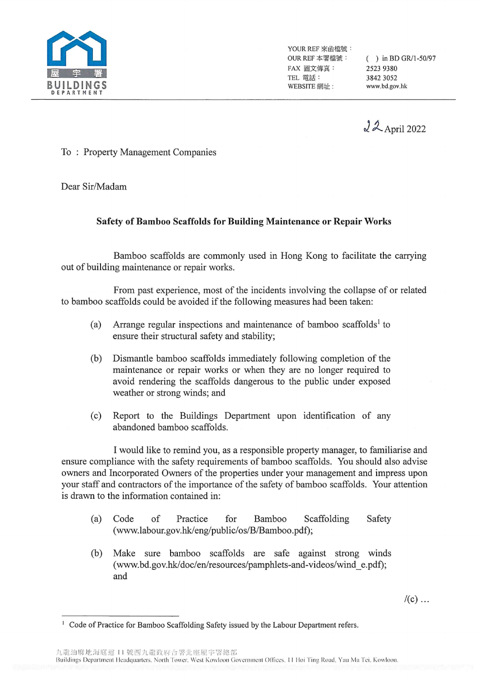

YOUR REF 來函檔號: FAX 圖文傳真: 2523 9380 TEL 電話: 3842 3052 WEBSITE 網址: www.bd.gov.hk

OUR REF 本署檔號: ( ) in BD GR/1-50/97

22 April 2022

To : Property Management Companies

Dear Sir/Madam

## **Safety of Bamboo Scaffolds for Building Maintenance or Repair Works**

Bamboo scaffolds are commonly used in Hong Kong to facilitate the carrying out of building maintenance or repair works.

From past experience, most of the incidents involving the collapse of or related to bamboo scaffolds could be avoided if the following measures had been taken:

- (a) Arrange regular inspections and maintenance of bamboo scaffolds<sup>1</sup> to ensure their structural safety and stability;
- (b) Dismantle bamboo scaffolds immediately following completion of the maintenance or repair works or when they are no longer required to avoid rendering the scaffolds dangerous to the public under exposed weather or strong winds; and
- (c) Report to the Buildings Department upon identification of any abandoned bamboo scaffolds.

I would like to remind you, as a responsible property manager, to familiarise and ensure compliance with the safety requirements of bamboo scaffolds. You should also advise owners and Incorporated Owners of the properties under your management and impress upon your staff and contractors of the importance of the safety of bamboo scaffolds. Your attention is drawn to the information contained in:

- (a) Code of Practice for Bamboo Scaffolding Safety (www.labour.gov.hk/eng/public/os/B/Bamboo.pdf);
- (b) Make sure bamboo scaffolds are safe against strong winds (www.bd.gov.hk/doc/en/resources/pamphlets-and-videos/wind\_e.pdf); and

 $/(c)$  ...

九龍油麻地海庭道 11 號西九龍政府合署北座屋宇署總部 Buildings Department Headquarters, North Tower, West Kowloon Government Offices, 11 Hoi Ting Road, Yau Ma Tei, Kowloon.

<sup>&</sup>lt;sup>1</sup> Code of Practice for Bamboo Scaffolding Safety issued by the Labour Department refers.